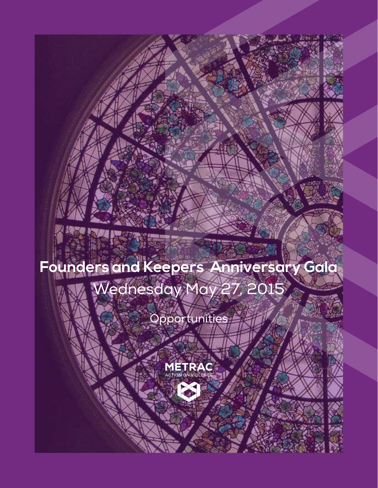# **Founders and Keepers Anniversary Gala** Wednesday May 27, 2015

## Opportunities



广大雨

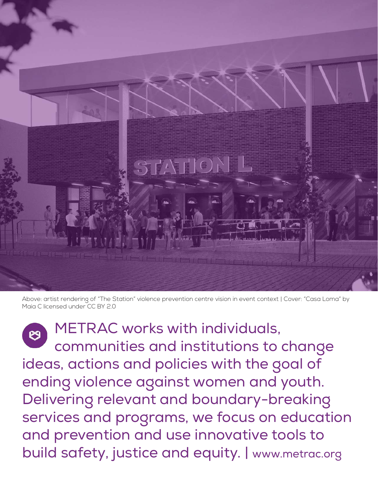

Above: artist rendering of "The Station" violence prevention centre vision in event context | Cover: "Casa Loma" by Maia C licensed under CC BY 2.0

 METRAC works with individuals, communities and institutions to change ideas, actions and policies with the goal of ending violence against women and youth. Delivering relevant and boundary-breaking services and programs, we focus on education and prevention and use innovative tools to build safety, justice and equity. | www.metrac.org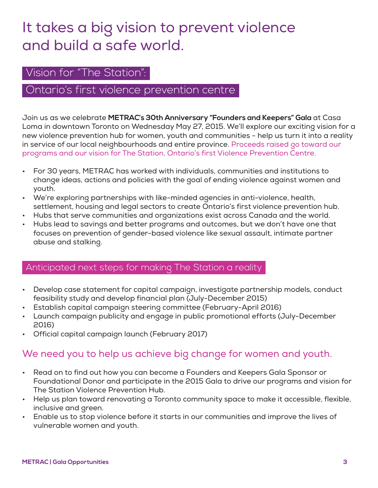## It takes a big vision to prevent violence and build a safe world.

## Vision for "The Station":

## Ontario's first violence prevention centre

Join us as we celebrate **METRAC's 30th Anniversary "Founders and Keepers" Gala** at Casa Loma in downtown Toronto on Wednesday May 27, 2015. We'll explore our exciting vision for a new violence prevention hub for women, youth and communities - help us turn it into a reality in service of our local neighbourhoods and entire province. Proceeds raised go toward our programs and our vision for The Station, Ontario's first Violence Prevention Centre.

- For 30 years, METRAC has worked with individuals, communities and institutions to change ideas, actions and policies with the goal of ending violence against women and youth.
- We're exploring partnerships with like-minded agencies in anti-violence, health, settlement, housing and legal sectors to create Ontario's first violence prevention hub.
- Hubs that serve communities and organizations exist across Canada and the world.
- Hubs lead to savings and better programs and outcomes, but we don't have one that focuses on prevention of gender-based violence like sexual assault, intimate partner abuse and stalking.

#### Anticipated next steps for making The Station a reality

- Develop case statement for capital campaign, investigate partnership models, conduct feasibility study and develop financial plan (July-December 2015)
- Establish capital campaign steering committee (February-April 2016)
- Launch campaign publicity and engage in public promotional efforts (July-December 2016)
- Official capital campaign launch (February 2017)

## We need you to help us achieve big change for women and youth.

- Read on to find out how you can become a Founders and Keepers Gala Sponsor or Foundational Donor and participate in the 2015 Gala to drive our programs and vision for The Station Violence Prevention Hub.
- Help us plan toward renovating a Toronto community space to make it accessible, flexible, inclusive and green.
- Enable us to stop violence before it starts in our communities and improve the lives of vulnerable women and youth.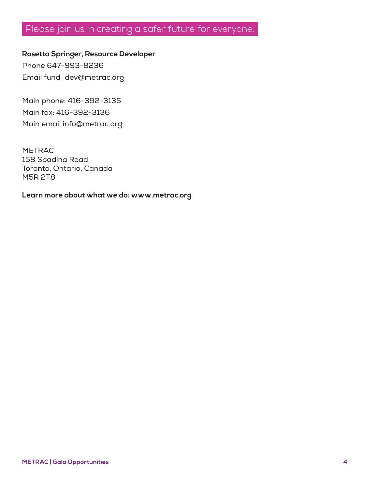## Please join us in creating a safer future for everyone.

**Rosetta Springer, Resource Developer**  Phone 647-993-8236

Email fund\_dev@metrac.org

Main phone: 416-392-3135 Main fax: 416-392-3136 Main email info@metrac.org

METRAC 158 Spadina Road Toronto, Ontario, Canada M5R 2T8

**Learn more about what we do: www.metrac.org**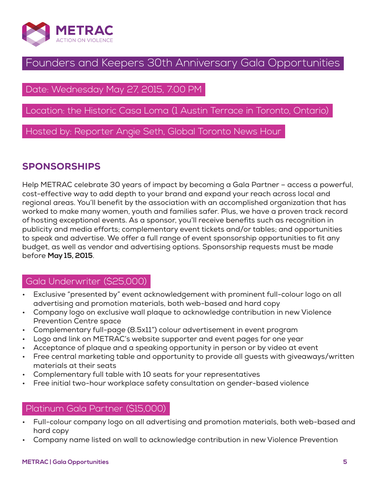

## Founders and Keepers 30th Anniversary Gala Opportunities

## Date: Wednesday May 27, 2015, 7:00 PM

## Location: the Historic Casa Loma (1 Austin Terrace in Toronto, Ontario)

Hosted by: Reporter Angie Seth, Global Toronto News Hour

## SPONSORSHIPS

Help METRAC celebrate 30 years of impact by becoming a Gala Partner – access a powerful, cost-effective way to add depth to your brand and expand your reach across local and regional areas. You'll benefit by the association with an accomplished organization that has worked to make many women, youth and families safer. Plus, we have a proven track record of hosting exceptional events. As a sponsor, you'll receive benefits such as recognition in publicity and media efforts; complementary event tickets and/or tables; and opportunities to speak and advertise. We offer a full range of event sponsorship opportunities to fit any budget, as well as vendor and advertising options. Sponsorship requests must be made before **May 15, 2015**.

## Gala Underwriter (\$25,000)

- Exclusive "presented by" event acknowledgement with prominent full-colour logo on all advertising and promotion materials, both web-based and hard copy
- Company logo on exclusive wall plaque to acknowledge contribution in new Violence Prevention Centre space
- Complementary full-page (8.5x11") colour advertisement in event program
- Logo and link on METRAC's website supporter and event pages for one year
- Acceptance of plaque and a speaking opportunity in person or by video at event
- Free central marketing table and opportunity to provide all guests with giveaways/written materials at their seats
- Complementary full table with 10 seats for your representatives
- Free initial two-hour workplace safety consultation on gender-based violence

## Platinum Gala Partner (\$15,000)

- Full-colour company logo on all advertising and promotion materials, both web-based and hard copy
- Company name listed on wall to acknowledge contribution in new Violence Prevention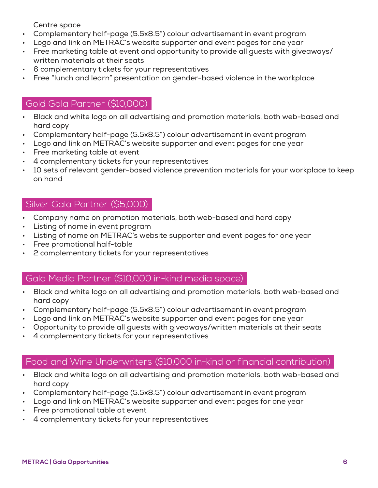Centre space

- Complementary half-page (5.5x8.5") colour advertisement in event program
- Logo and link on METRAC's website supporter and event pages for one year
- Free marketing table at event and opportunity to provide all guests with giveaways/ written materials at their seats
- 6 complementary tickets for your representatives
- Free "lunch and learn" presentation on gender-based violence in the workplace

## Gold Gala Partner (\$10,000)

- Black and white logo on all advertising and promotion materials, both web-based and hard copy
- Complementary half-page (5.5x8.5") colour advertisement in event program
- Logo and link on METRAC's website supporter and event pages for one year
- Free marketing table at event
- 4 complementary tickets for your representatives
- 10 sets of relevant gender-based violence prevention materials for your workplace to keep on hand

## Silver Gala Partner (\$5,000)

- Company name on promotion materials, both web-based and hard copy
- Listing of name in event program
- Listing of name on METRAC's website supporter and event pages for one year
- Free promotional half-table
- 2 complementary tickets for your representatives

#### Gala Media Partner (\$10,000 in-kind media space)

- Black and white logo on all advertising and promotion materials, both web-based and hard copy
- Complementary half-page (5.5x8.5") colour advertisement in event program
- Logo and link on METRAC's website supporter and event pages for one year
- Opportunity to provide all guests with giveaways/written materials at their seats
- 4 complementary tickets for your representatives

## Food and Wine Underwriters (\$10,000 in-kind or financial contribution)

- Black and white logo on all advertising and promotion materials, both web-based and hard copy
- Complementary half-page (5.5x8.5") colour advertisement in event program
- Logo and link on METRAC's website supporter and event pages for one year
- Free promotional table at event
- 4 complementary tickets for your representatives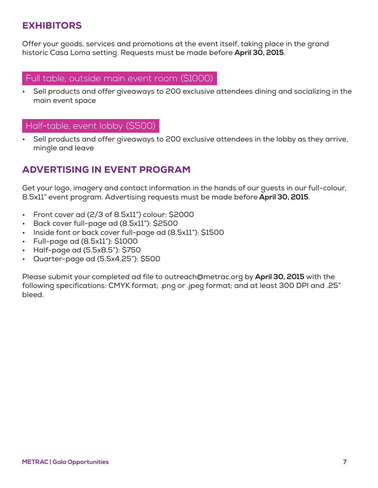## EXHIBITORS

Offer your goods, services and promotions at the event itself, taking place in the grand historic Casa Loma setting. Requests must be made before **April 30, 2015**.

#### Full table, outside main event room (\$1000)

• Sell products and offer giveaways to 200 exclusive attendees dining and socializing in the main event space

## Half-table, event lobby (\$500)

Sell products and offer giveaways to 200 exclusive attendees in the lobby as they arrive, mingle and leave

## ADVERTISING IN EVENT PROGRAM

Get your logo, imagery and contact information in the hands of our guests in our full-colour, 8.5x11" event program. Advertising requests must be made before **April 30, 2015**.

- Front cover ad (2/3 of 8.5x11") colour: \$2000
- Back cover full-page ad (8.5x11"): \$2500
- Inside font or back cover full-page ad (8.5x11"): \$1500
- Full-page ad (8.5x11"): \$1000
- Half-page ad (5.5x8.5"): \$750
- Quarter-page ad (5.5x4.25"): \$500

Please submit your completed ad file to outreach@metrac.org by **April 30, 2015** with the following specifications: CMYK format; .png or .jpeg format; and at least 300 DPI and .25" bleed.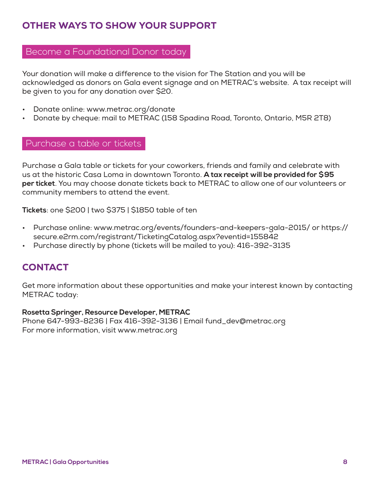## OTHER WAYS TO SHOW YOUR SUPPORT

## Become a Foundational Donor today

Your donation will make a difference to the vision for The Station and you will be acknowledged as donors on Gala event signage and on METRAC's website. A tax receipt will be given to you for any donation over \$20.

- Donate online: www.metrac.org/donate
- Donate by cheque: mail to METRAC (158 Spadina Road, Toronto, Ontario, M5R 2T8)

#### Purchase a table or tickets

Purchase a Gala table or tickets for your coworkers, friends and family and celebrate with us at the historic Casa Loma in downtown Toronto. **A tax receipt will be provided for \$95 per ticket**. You may choose donate tickets back to METRAC to allow one of our volunteers or community members to attend the event.

**Tickets**: one \$200 | two \$375 | \$1850 table of ten

- Purchase online: www.metrac.org/events/founders-and-keepers-gala-2015/ or https:// secure.e2rm.com/registrant/TicketingCatalog.aspx?eventid=155842
- Purchase directly by phone (tickets will be mailed to you): 416-392-3135

## **CONTACT**

Get more information about these opportunities and make your interest known by contacting METRAC today:

#### **Rosetta Springer, Resource Developer, METRAC**

Phone 647-993-8236 | Fax 416-392-3136 | Email fund\_dev@metrac.org For more information, visit www.metrac.org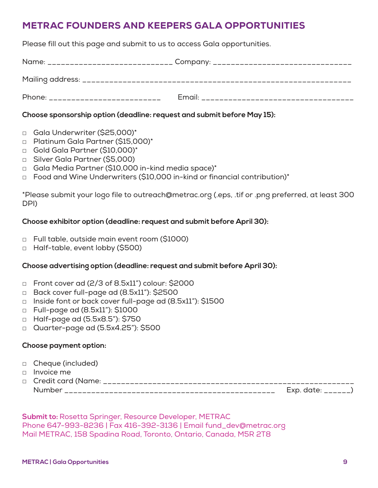## METRAC FOUNDERS AND KEEPERS GALA OPPORTUNITIES

Please fill out this page and submit to us to access Gala opportunities.

| Phone: __________________________ |  |
|-----------------------------------|--|

#### **Choose sponsorship option (deadline: request and submit before May 15):**

- □ Gala Underwriter (\$25,000)\*
- □ Platinum Gala Partner (\$15,000)\*
- □ Gold Gala Partner (\$10,000)\*
- □ Silver Gala Partner (\$5,000)
- □ Gala Media Partner (\$10,000 in-kind media space)\*
- □ Food and Wine Underwriters (\$10,000 in-kind or financial contribution)\*

\*Please submit your logo file to outreach@metrac.org (.eps, .tif or .png preferred, at least 300 DPI)

#### **Choose exhibitor option (deadline: request and submit before April 30):**

- □ Full table, outside main event room (\$1000)
- □ Half-table, event lobby (\$500)

#### **Choose advertising option (deadline: request and submit before April 30):**

- □ Front cover ad (2/3 of 8.5x11") colour: \$2000
- □ Back cover full-page ad (8.5x11"): \$2500
- □ Inside font or back cover full-page ad (8.5x11"): \$1500
- □ Full-page ad (8.5x11"): \$1000
- □ Half-page ad (5.5x8.5"): \$750
- □ Quarter-page ad (5.5x4.25"): \$500

#### **Choose payment option:**

- □ Cheque (included)
- □ Invoice me

| □ Credit card (Name:<br>________________________ | - - -          |
|--------------------------------------------------|----------------|
| Num<br>. _ _ _ _ _ _ _ _ _ _ _ _                 | $\ddotsc$<br>. |

**Submit to:** Rosetta Springer, Resource Developer, METRAC Phone 647-993-8236 | Fax 416-392-3136 | Email fund\_dev@metrac.org Mail METRAC, 158 Spadina Road, Toronto, Ontario, Canada, M5R 2T8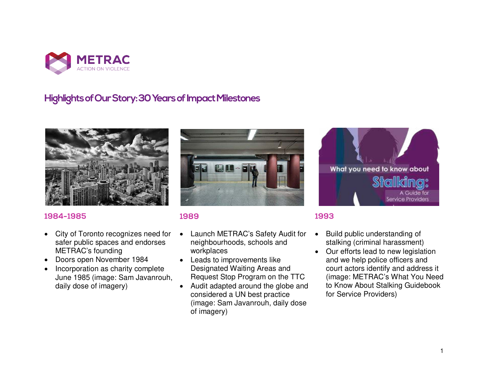

## **Highlightsof Our Story: 30 Years of Impact Milestones**



#### 1984-1985

- City of Toronto recognizes need for safer public spaces and endorses METRAC's founding
- Doors open November 1984
- Incorporation as charity complete June 1985 (image: Sam Javanrouh, daily dose of imagery)



#### 1989

- Launch METRAC's Safety Audit for neighbourhoods, schools and workplaces
- Leads to improvements like Designated Waiting Areas and Request Stop Program on the TTC
- Audit adapted around the globe and considered a UN best practice (image: Sam Javanrouh, daily dose of imagery)



#### 1993

- Build public understanding of stalking (criminal harassment)
- Our efforts lead to new legislation and we help police officers and court actors identify and address it (image: METRAC's What You Need to Know About Stalking Guidebook for Service Providers)